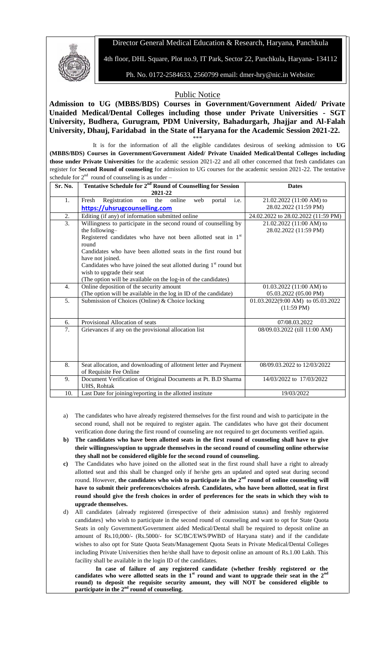## Director General Medical Education & Research, Haryana, Panchkula



4th floor, DHL Square, Plot no.9, IT Park, Sector 22, Panchkula, Haryana- 134112

Ph. No. 0172-2584633, 2560799 email: [dmer-hry@nic.in](mailto:dmer-hry@nic.in) Website:

## Public Notice

**Admission to UG (MBBS/BDS) Courses in Government/Government Aided/ Private Unaided Medical/Dental Colleges including those under Private Universities - SGT University, Budhera, Gurugram, PDM University, Bahadurgarh, Jhajjar and Al-Falah University, Dhauj, Faridabad in the State of Haryana for the Academic Session 2021-22.** \*\*\*

It is for the information of all the eligible candidates desirous of seeking admission to **UG (MBBS/BDS) Courses in Government/Government Aided/ Private Unaided Medical/Dental Colleges including those under Private Universities** for the academic session 2021-22 and all other concerned that fresh candidates can register for **Second Round of counseling** for admission to UG courses for the academic session 2021-22. The tentative schedule for  $2<sup>nd</sup>$  round of counseling is as under –

| Sr. No.          | Tentative Schedule for 2 <sup>nd</sup> Round of Counselling for Session                      | <b>Dates</b>                        |
|------------------|----------------------------------------------------------------------------------------------|-------------------------------------|
|                  | 2021-22                                                                                      |                                     |
| 1.               | Registration<br>Fresh<br>online<br>i.e.<br>the<br>web<br>portal<br>on                        | 21.02.2022 (11:00 AM) to            |
|                  | https://uhsrugcounselling.com                                                                | 28.02.2022 (11:59 PM)               |
| 2.               | Editing (if any) of information submitted online                                             | 24.02.2022 to 28.02.2022 (11:59 PM) |
| 3.               | Willingness to participate in the second round of counselling by                             | 21.02.2022 (11:00 AM) to            |
|                  | the following-                                                                               | 28.02.2022 (11:59 PM)               |
|                  | Registered candidates who have not been allotted seat in $1st$                               |                                     |
|                  | round                                                                                        |                                     |
|                  | Candidates who have been allotted seats in the first round but                               |                                     |
|                  | have not joined.                                                                             |                                     |
|                  | Candidates who have joined the seat allotted during $1st$ round but                          |                                     |
|                  | wish to upgrade their seat<br>(The option will be available on the log-in of the candidates) |                                     |
| $\overline{4}$ . | Online deposition of the security amount                                                     | $01.03.2022$ (11:00 AM) to          |
|                  | (The option will be available in the log in ID of the candidate)                             | 05.03.2022 (05.00 PM)               |
| 5.               | Submission of Choices (Online) & Choice locking                                              | 01.03.2022(9:00 AM) to 05.03.2022   |
|                  |                                                                                              | $(11:59 \text{ PM})$                |
|                  |                                                                                              |                                     |
| 6.               | Provisional Allocation of seats                                                              | 07/08.03.2022                       |
| 7.               | Grievances if any on the provisional allocation list                                         | 08/09.03.2022 (till 11:00 AM)       |
|                  |                                                                                              |                                     |
|                  |                                                                                              |                                     |
|                  |                                                                                              |                                     |
|                  |                                                                                              |                                     |
| 8.               | Seat allocation, and downloading of allotment letter and Payment                             | 08/09.03.2022 to 12/03/2022         |
|                  | of Requisite Fee Online                                                                      |                                     |
| 9.               | Document Verification of Original Documents at Pt. B.D Sharma<br>UHS, Rohtak                 | 14/03/2022 to 17/03/2022            |
| 10.              | Last Date for joining/reporting in the allotted institute                                    | 19/03/2022                          |
|                  |                                                                                              |                                     |

- a) The candidates who have already registered themselves for the first round and wish to participate in the second round, shall not be required to register again. The candidates who have got their document verification done during the first round of counseling are not required to get documents verified again.
- **b) The candidates who have been allotted seats in the first round of counseling shall have to give their willingness/option to upgrade themselves in the second round of counseling online otherwise they shall not be considered eligible for the second round of counseling.**
- **c)** The Candidates who have joined on the allotted seat in the first round shall have a right to already allotted seat and this shall be changed only if he/she gets an updated and opted seat during second round. However, the candidates who wish to participate in the 2<sup>nd</sup> round of online counseling will **have to submit their preferences/choices afresh. Candidates, who have been allotted, seat in first round should give the fresh choices in order of preferences for the seats in which they wish to upgrade themselves.**
- d) All candidates {already registered (irrespective of their admission status) and freshly registered candidates} who wish to participate in the second round of counseling and want to opt for State Quota Seats in only Government/Government aided Medical/Dental shall be required to deposit online an amount of Rs.10,000/- (Rs.5000/- for SC/BC/EWS/PWBD of Haryana state) and if the candidate wishes to also opt for State Quota Seats/Management Quota Seats in Private Medical/Dental Colleges including Private Universities then he/she shall have to deposit online an amount of Rs.1.00 Lakh. This facility shall be available in the login ID of the candidates.

**In case of failure of any registered candidate (whether freshly registered or the**  candidates who were allotted seats in the  $1<sup>st</sup>$  round and want to upgrade their seat in the  $2<sup>n</sup>$ **round) to deposit the requisite security amount, they will NOT be considered eligible to participate in the 2nd round of counseling.**